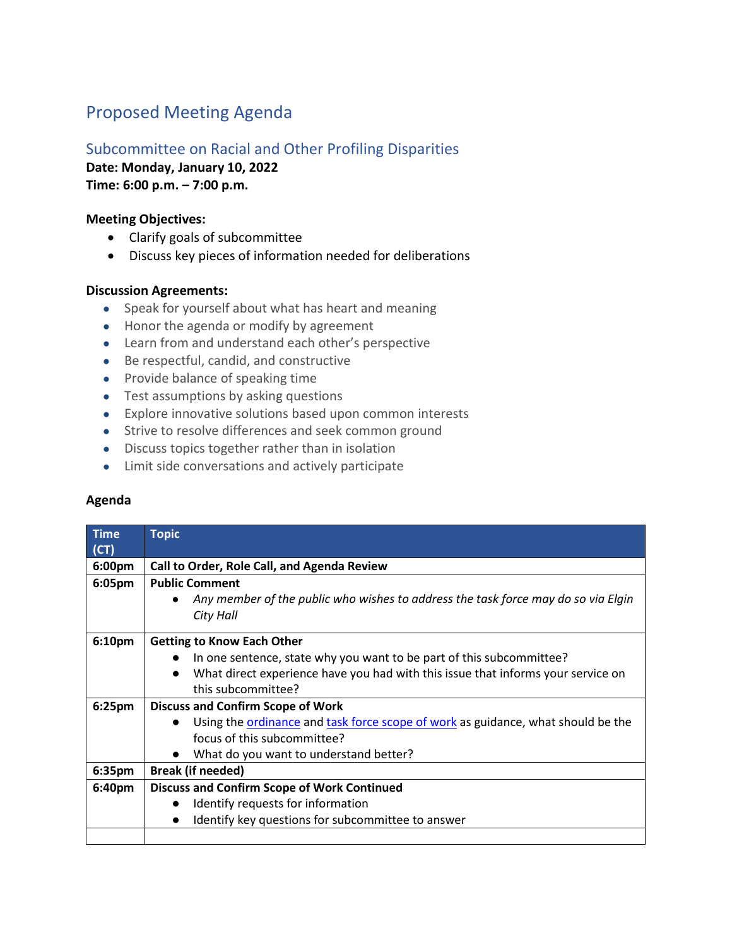# Proposed Meeting Agenda

## Subcommittee on Racial and Other Profiling Disparities

**Date: Monday, January 10, 2022**

**Time: 6:00 p.m. – 7:00 p.m.** 

### **Meeting Objectives:**

- Clarify goals of subcommittee
- Discuss key pieces of information needed for deliberations

### **Discussion Agreements:**

- Speak for yourself about what has heart and meaning
- Honor the agenda or modify by agreement
- Learn from and understand each other's perspective
- Be respectful, candid, and constructive
- Provide balance of speaking time
- Test assumptions by asking questions
- Explore innovative solutions based upon common interests
- Strive to resolve differences and seek common ground
- Discuss topics together rather than in isolation
- Limit side conversations and actively participate

#### **Agenda**

| <b>Time</b>        | <b>Topic</b>                                                                                         |
|--------------------|------------------------------------------------------------------------------------------------------|
| (CT)               |                                                                                                      |
| 6:00pm             | Call to Order, Role Call, and Agenda Review                                                          |
| 6:05pm             | <b>Public Comment</b>                                                                                |
|                    | Any member of the public who wishes to address the task force may do so via Elgin<br>$\bullet$       |
|                    | City Hall                                                                                            |
|                    |                                                                                                      |
| 6:10pm             | <b>Getting to Know Each Other</b>                                                                    |
|                    | In one sentence, state why you want to be part of this subcommittee?                                 |
|                    | What direct experience have you had with this issue that informs your service on<br>$\bullet$        |
|                    | this subcommittee?                                                                                   |
| 6:25 <sub>pm</sub> | <b>Discuss and Confirm Scope of Work</b>                                                             |
|                    | Using the <b>ordinance</b> and task force scope of work as guidance, what should be the<br>$\bullet$ |
|                    | focus of this subcommittee?                                                                          |
|                    | What do you want to understand better?<br>$\bullet$                                                  |
| 6:35pm             | <b>Break (if needed)</b>                                                                             |
| 6:40pm             | <b>Discuss and Confirm Scope of Work Continued</b>                                                   |
|                    | Identify requests for information                                                                    |
|                    | Identify key questions for subcommittee to answer                                                    |
|                    |                                                                                                      |